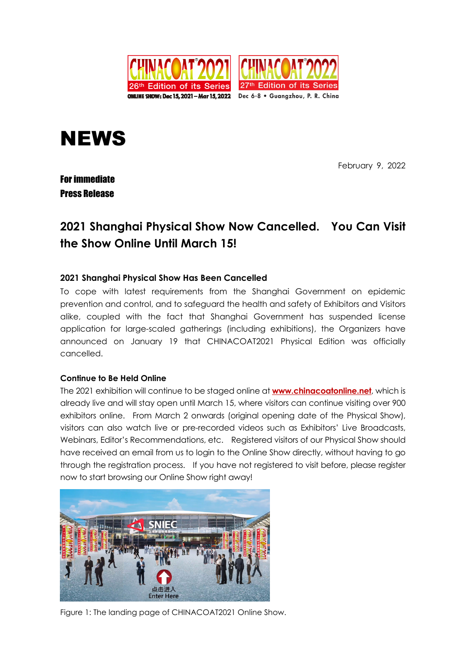

# **NEWS**

February 9, 2022

### For immediate Press Release

## **2021 Shanghai Physical Show Now Cancelled. You Can Visit the Show Online Until March 15!**

#### **2021 Shanghai Physical Show Has Been Cancelled**

To cope with latest requirements from the Shanghai Government on epidemic prevention and control, and to safeguard the health and safety of Exhibitors and Visitors alike, coupled with the fact that Shanghai Government has suspended license application for large-scaled gatherings (including exhibitions), the Organizers have announced on January 19 that CHINACOAT2021 Physical Edition was officially cancelled.

#### **Continue to Be Held Online**

The 2021 exhibition will continue to be staged online at **www.chinacoatonline.net**, which is already live and will stay open until March 15, where visitors can continue visiting over 900 exhibitors online. From March 2 onwards (original opening date of the Physical Show), visitors can also watch live or pre-recorded videos such as Exhibitors' Live Broadcasts, Webinars, Editor's Recommendations, etc. Registered visitors of our Physical Show should have received an email from us to login to the Online Show directly, without having to go through the registration process. If you have not registered to visit before, please register now to start browsing our Online Show right away!



Figure 1: The landing page of CHINACOAT2021 Online Show.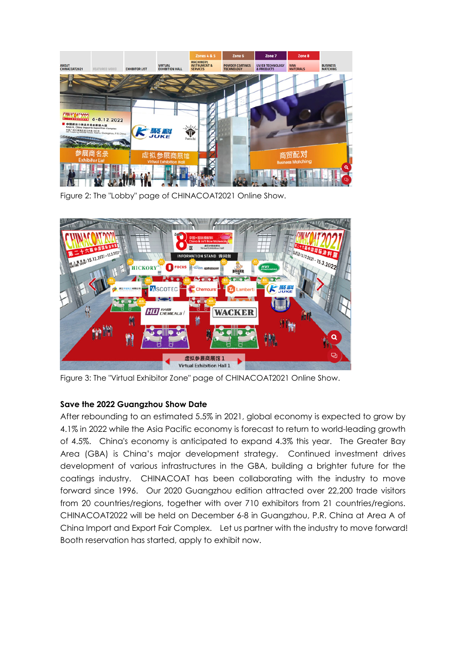

Figure 2: The "Lobby" page of CHINACOAT2021 Online Show.



Figure 3: The "Virtual Exhibitor Zone" page of CHINACOAT2021 Online Show.

#### **Save the 2022 Guangzhou Show Date**

After rebounding to an estimated 5.5% in 2021, global economy is expected to grow by 4.1% in 2022 while the Asia Pacific economy is forecast to return to world-leading growth of 4.5%. China's economy is anticipated to expand 4.3% this year. The Greater Bay Area (GBA) is China's major development strategy. Continued investment drives development of various infrastructures in the GBA, building a brighter future for the coatings industry. CHINACOAT has been collaborating with the industry to move forward since 1996. Our 2020 Guangzhou edition attracted over 22,200 trade visitors from 20 countries/regions, together with over 710 exhibitors from 21 countries/regions. CHINACOAT2022 will be held on December 6-8 in Guangzhou, P.R. China at Area A of China Import and Export Fair Complex. Let us partner with the industry to move forward! Booth reservation has started, apply to exhibit now.